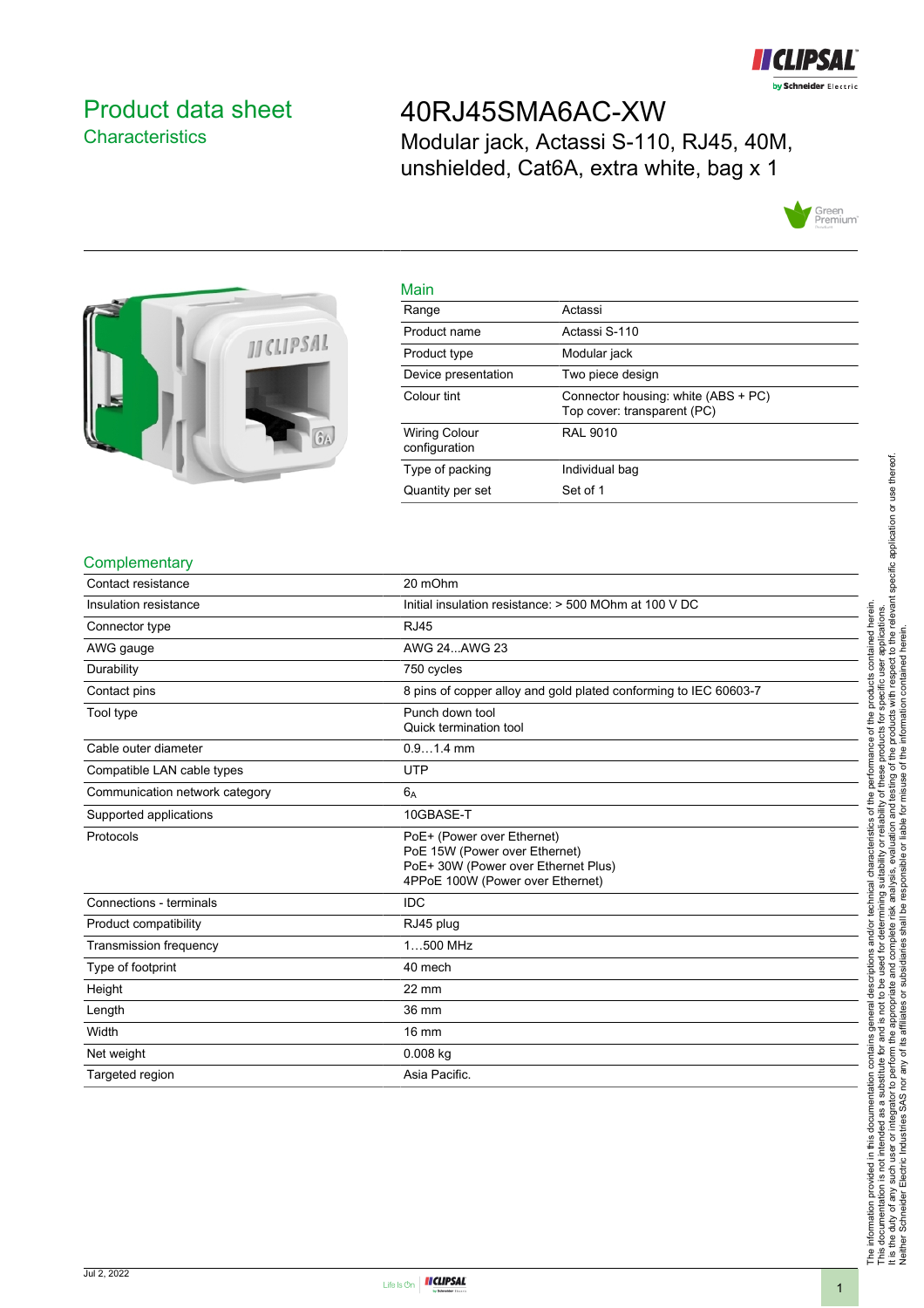

### <span id="page-0-0"></span>Product data sheet **Characteristics**

## 40RJ45SMA6AC-XW

Modular jack, Actassi S-110, RJ45, 40M, unshielded, Cat6A, extra white, bag x 1





| Main                                  |                                                                    |
|---------------------------------------|--------------------------------------------------------------------|
| Range                                 | Actassi                                                            |
| Product name                          | Actassi S-110                                                      |
| Product type                          | Modular jack                                                       |
| Device presentation                   | Two piece design                                                   |
| Colour tint                           | Connector housing: white (ABS + PC)<br>Top cover: transparent (PC) |
| <b>Wiring Colour</b><br>configuration | <b>RAL 9010</b>                                                    |
| Type of packing                       | Individual bag                                                     |
| Quantity per set                      | Set of 1                                                           |

#### **Complementary**

| Contact resistance             | 20 mOhm                                                                                                                                |
|--------------------------------|----------------------------------------------------------------------------------------------------------------------------------------|
| Insulation resistance          | Initial insulation resistance: > 500 MOhm at 100 V DC                                                                                  |
| Connector type                 | <b>RJ45</b>                                                                                                                            |
| AWG gauge                      | AWG 24AWG 23                                                                                                                           |
| Durability                     | 750 cycles                                                                                                                             |
| Contact pins                   | 8 pins of copper alloy and gold plated conforming to IEC 60603-7                                                                       |
| Tool type                      | Punch down tool<br>Quick termination tool                                                                                              |
| Cable outer diameter           | $0.91.4$ mm                                                                                                                            |
| Compatible LAN cable types     | <b>UTP</b>                                                                                                                             |
| Communication network category | $6_A$                                                                                                                                  |
| Supported applications         | 10GBASE-T                                                                                                                              |
| Protocols                      | PoE+ (Power over Ethernet)<br>PoE 15W (Power over Ethernet)<br>PoE+ 30W (Power over Ethernet Plus)<br>4PPoE 100W (Power over Ethernet) |
| Connections - terminals        | <b>IDC</b>                                                                                                                             |
| Product compatibility          | RJ45 plug                                                                                                                              |
| <b>Transmission frequency</b>  | 1500 MHz                                                                                                                               |
| Type of footprint              | 40 mech                                                                                                                                |
| Height                         | 22 mm                                                                                                                                  |
| Length                         | 36 mm                                                                                                                                  |
| Width                          | 16 mm                                                                                                                                  |
| Net weight                     | $0.008$ kg                                                                                                                             |
| Targeted region                | Asia Pacific.                                                                                                                          |